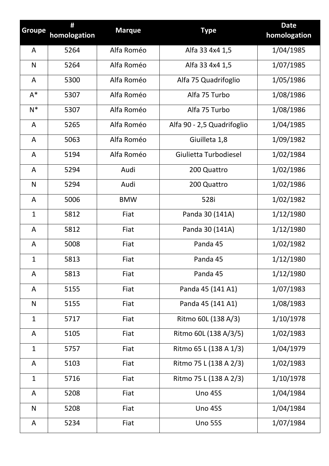| <b>Groupe</b>  | #<br>homologation | <b>Marque</b> | <b>Type</b>                | <b>Date</b><br>homologation |
|----------------|-------------------|---------------|----------------------------|-----------------------------|
| A              | 5264              | Alfa Roméo    | Alfa 33 4x4 1,5            | 1/04/1985                   |
| N              | 5264              | Alfa Roméo    | Alfa 33 4x4 1,5            | 1/07/1985                   |
| A              | 5300              | Alfa Roméo    | Alfa 75 Quadrifoglio       | 1/05/1986                   |
| $A^*$          | 5307              | Alfa Roméo    | Alfa 75 Turbo              | 1/08/1986                   |
| $N^*$          | 5307              | Alfa Roméo    | Alfa 75 Turbo              | 1/08/1986                   |
| $\overline{A}$ | 5265              | Alfa Roméo    | Alfa 90 - 2,5 Quadrifoglio | 1/04/1985                   |
| A              | 5063              | Alfa Roméo    | Giuilleta 1,8              | 1/09/1982                   |
| $\overline{A}$ | 5194              | Alfa Roméo    | Giulietta Turbodiesel      | 1/02/1984                   |
| A              | 5294              | Audi          | 200 Quattro                | 1/02/1986                   |
| $\mathsf{N}$   | 5294              | Audi          | 200 Quattro                | 1/02/1986                   |
| A              | 5006              | <b>BMW</b>    | 528i                       | 1/02/1982                   |
| $\mathbf{1}$   | 5812              | Fiat          | Panda 30 (141A)            | 1/12/1980                   |
| A              | 5812              | Fiat          | Panda 30 (141A)            | 1/12/1980                   |
| A              | 5008              | Fiat          | Panda 45                   | 1/02/1982                   |
| $\mathbf{1}$   | 5813              | Fiat          | Panda 45                   | 1/12/1980                   |
| A              | 5813              | Fiat          | Panda 45                   | 1/12/1980                   |
| A              | 5155              | Fiat          | Panda 45 (141 A1)          | 1/07/1983                   |
| $\mathsf{N}$   | 5155              | Fiat          | Panda 45 (141 A1)          | 1/08/1983                   |
| $\mathbf{1}$   | 5717              | Fiat          | Ritmo 60L (138 A/3)        | 1/10/1978                   |
| A              | 5105              | Fiat          | Ritmo 60L (138 A/3/5)      | 1/02/1983                   |
| $\mathbf{1}$   | 5757              | Fiat          | Ritmo 65 L (138 A 1/3)     | 1/04/1979                   |
| A              | 5103              | Fiat          | Ritmo 75 L (138 A 2/3)     | 1/02/1983                   |
| $\mathbf{1}$   | 5716              | Fiat          | Ritmo 75 L (138 A 2/3)     | 1/10/1978                   |
| A              | 5208              | Fiat          | <b>Uno 45S</b>             | 1/04/1984                   |
| $\mathsf{N}$   | 5208              | Fiat          | <b>Uno 45S</b>             | 1/04/1984                   |
| A              | 5234              | Fiat          | <b>Uno 55S</b>             | 1/07/1984                   |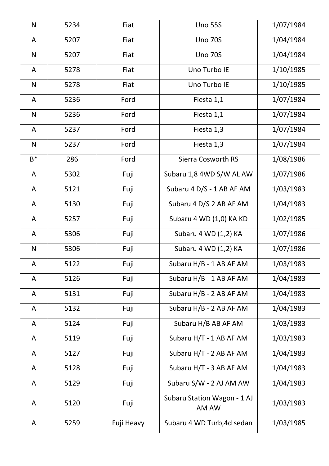| ${\sf N}$    | 5234 | Fiat       | <b>Uno 55S</b>                       | 1/07/1984 |
|--------------|------|------------|--------------------------------------|-----------|
| A            | 5207 | Fiat       | <b>Uno 70S</b>                       | 1/04/1984 |
| ${\sf N}$    | 5207 | Fiat       | <b>Uno 70S</b>                       | 1/04/1984 |
| A            | 5278 | Fiat       | Uno Turbo IE                         | 1/10/1985 |
| ${\sf N}$    | 5278 | Fiat       | Uno Turbo IE                         | 1/10/1985 |
| A            | 5236 | Ford       | Fiesta 1,1                           | 1/07/1984 |
| ${\sf N}$    | 5236 | Ford       | Fiesta 1,1                           | 1/07/1984 |
| A            | 5237 | Ford       | Fiesta 1,3                           | 1/07/1984 |
| ${\sf N}$    | 5237 | Ford       | Fiesta 1,3                           | 1/07/1984 |
| $B^*$        | 286  | Ford       | <b>Sierra Cosworth RS</b>            | 1/08/1986 |
| A            | 5302 | Fuji       | Subaru 1,8 4WD S/W AL AW             | 1/07/1986 |
| A            | 5121 | Fuji       | Subaru 4 D/S - 1 AB AF AM            | 1/03/1983 |
| A            | 5130 | Fuji       | Subaru 4 D/S 2 AB AF AM              | 1/04/1983 |
| A            | 5257 | Fuji       | Subaru 4 WD (1,0) KA KD              | 1/02/1985 |
| A            | 5306 | Fuji       | Subaru 4 WD (1,2) KA                 | 1/07/1986 |
| $\mathsf{N}$ | 5306 | Fuji       | Subaru 4 WD (1,2) KA                 | 1/07/1986 |
| A            | 5122 | Fuji       | Subaru H/B - 1 AB AF AM              | 1/03/1983 |
| A            | 5126 | Fuji       | Subaru H/B - 1 AB AF AM              | 1/04/1983 |
| A            | 5131 | Fuji       | Subaru H/B - 2 AB AF AM              | 1/04/1983 |
| A            | 5132 | Fuji       | Subaru H/B - 2 AB AF AM              | 1/04/1983 |
| A            | 5124 | Fuji       | Subaru H/B AB AF AM                  | 1/03/1983 |
| A            | 5119 | Fuji       | Subaru H/T - 1 AB AF AM              | 1/03/1983 |
| A            | 5127 | Fuji       | Subaru H/T - 2 AB AF AM              | 1/04/1983 |
| A            | 5128 | Fuji       | Subaru H/T - 3 AB AF AM              | 1/04/1983 |
| A            | 5129 | Fuji       | Subaru S/W - 2 AJ AM AW              | 1/04/1983 |
| A            | 5120 | Fuji       | Subaru Station Wagon - 1 AJ<br>AM AW | 1/03/1983 |
| A            | 5259 | Fuji Heavy | Subaru 4 WD Turb, 4d sedan           | 1/03/1985 |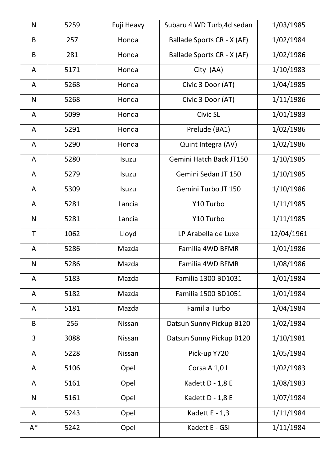| $\mathsf{N}$ | 5259 | Fuji Heavy    | Subaru 4 WD Turb, 4d sedan     | 1/03/1985  |
|--------------|------|---------------|--------------------------------|------------|
| B            | 257  | Honda         | Ballade Sports CR - X (AF)     | 1/02/1984  |
| $\sf B$      | 281  | Honda         | Ballade Sports CR - X (AF)     | 1/02/1986  |
| A            | 5171 | Honda         | City (AA)                      | 1/10/1983  |
| A            | 5268 | Honda         | Civic 3 Door (AT)              | 1/04/1985  |
| ${\sf N}$    | 5268 | Honda         | Civic 3 Door (AT)              | 1/11/1986  |
| A            | 5099 | Honda         | Civic SL                       | 1/01/1983  |
| A            | 5291 | Honda         | Prelude (BA1)                  | 1/02/1986  |
| A            | 5290 | Honda         | Quint Integra (AV)             | 1/02/1986  |
| A            | 5280 | Isuzu         | <b>Gemini Hatch Back JT150</b> | 1/10/1985  |
| A            | 5279 | Isuzu         | Gemini Sedan JT 150            | 1/10/1985  |
| A            | 5309 | Isuzu         | Gemini Turbo JT 150            | 1/10/1986  |
| A            | 5281 | Lancia        | Y10 Turbo                      | 1/11/1985  |
| $\mathsf{N}$ | 5281 | Lancia        | Y10 Turbo                      | 1/11/1985  |
| T            | 1062 | Lloyd         | LP Arabella de Luxe            | 12/04/1961 |
| A            | 5286 | Mazda         | Familia 4WD BFMR               | 1/01/1986  |
| ${\sf N}$    | 5286 | Mazda         | Familia 4WD BFMR               | 1/08/1986  |
| A            | 5183 | Mazda         | Familia 1300 BD1031            | 1/01/1984  |
| A            | 5182 | Mazda         | Familia 1500 BD1051            | 1/01/1984  |
| A            | 5181 | Mazda         | Familia Turbo                  | 1/04/1984  |
| B            | 256  | <b>Nissan</b> | Datsun Sunny Pickup B120       | 1/02/1984  |
| 3            | 3088 | <b>Nissan</b> | Datsun Sunny Pickup B120       | 1/10/1981  |
| A            | 5228 | <b>Nissan</b> | Pick-up Y720                   | 1/05/1984  |
| A            | 5106 | Opel          | Corsa A 1,0 L                  | 1/02/1983  |
| A            | 5161 | Opel          | Kadett D - 1,8 E               | 1/08/1983  |
| ${\sf N}$    | 5161 | Opel          | Kadett D - 1,8 E               | 1/07/1984  |
| A            | 5243 | Opel          | Kadett E - 1,3                 | 1/11/1984  |
| $A^*$        | 5242 | Opel          | Kadett E - GSI                 | 1/11/1984  |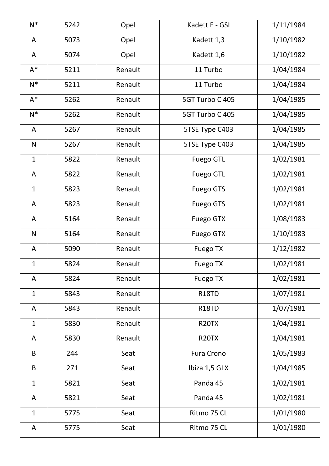| $N^*$        | 5242 | Opel    | Kadett E - GSI    | 1/11/1984 |
|--------------|------|---------|-------------------|-----------|
| A            | 5073 | Opel    | Kadett 1,3        | 1/10/1982 |
| A            | 5074 | Opel    | Kadett 1,6        | 1/10/1982 |
| $A^*$        | 5211 | Renault | 11 Turbo          | 1/04/1984 |
| $N^*$        | 5211 | Renault | 11 Turbo          | 1/04/1984 |
| $A^*$        | 5262 | Renault | 5GT Turbo C 405   | 1/04/1985 |
| $N^*$        | 5262 | Renault | 5GT Turbo C 405   | 1/04/1985 |
| A            | 5267 | Renault | 5TSE Type C403    | 1/04/1985 |
| $\mathsf{N}$ | 5267 | Renault | 5TSE Type C403    | 1/04/1985 |
| $\mathbf{1}$ | 5822 | Renault | <b>Fuego GTL</b>  | 1/02/1981 |
| A            | 5822 | Renault | <b>Fuego GTL</b>  | 1/02/1981 |
| $\mathbf{1}$ | 5823 | Renault | <b>Fuego GTS</b>  | 1/02/1981 |
| A            | 5823 | Renault | <b>Fuego GTS</b>  | 1/02/1981 |
| A            | 5164 | Renault | <b>Fuego GTX</b>  | 1/08/1983 |
| $\mathsf{N}$ | 5164 | Renault | <b>Fuego GTX</b>  | 1/10/1983 |
| A            | 5090 | Renault | <b>Fuego TX</b>   | 1/12/1982 |
| $\mathbf{1}$ | 5824 | Renault | Fuego TX          | 1/02/1981 |
| A            | 5824 | Renault | <b>Fuego TX</b>   | 1/02/1981 |
| $\mathbf{1}$ | 5843 | Renault | <b>R18TD</b>      | 1/07/1981 |
| A            | 5843 | Renault | <b>R18TD</b>      | 1/07/1981 |
| $\mathbf{1}$ | 5830 | Renault | <b>R20TX</b>      | 1/04/1981 |
| A            | 5830 | Renault | <b>R20TX</b>      | 1/04/1981 |
| B            | 244  | Seat    | <b>Fura Crono</b> | 1/05/1983 |
| B            | 271  | Seat    | Ibiza 1,5 GLX     | 1/04/1985 |
| $\mathbf{1}$ | 5821 | Seat    | Panda 45          | 1/02/1981 |
| A            | 5821 | Seat    | Panda 45          | 1/02/1981 |
| $\mathbf{1}$ | 5775 | Seat    | Ritmo 75 CL       | 1/01/1980 |
| A            | 5775 | Seat    | Ritmo 75 CL       | 1/01/1980 |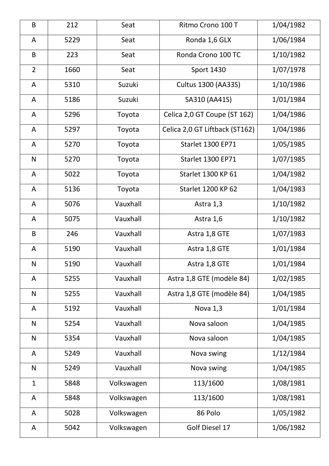| $\sf B$        | 212  | Seat                  | Ritmo Crono 100 T              | 1/04/1982 |
|----------------|------|-----------------------|--------------------------------|-----------|
| A              | 5229 | Ronda 1,6 GLX<br>Seat |                                | 1/06/1984 |
| B              | 223  | Seat                  | Ronda Crono 100 TC             | 1/10/1982 |
| $\overline{2}$ | 1660 | Seat                  | <b>Sport 1430</b>              | 1/07/1978 |
| A              | 5310 | Suzuki                | Cultus 1300 (AA33S)            | 1/10/1986 |
| A              | 5186 | Suzuki                | SA310 (AA41S)                  | 1/01/1984 |
| A              | 5296 | Toyota                | Celica 2,0 GT Coupe (ST 162)   | 1/04/1986 |
| A              | 5297 | Toyota                | Celica 2,0 GT Liftback (ST162) | 1/04/1986 |
| A              | 5270 | Toyota                | <b>Starlet 1300 EP71</b>       | 1/05/1985 |
| $\mathsf{N}$   | 5270 | Toyota                | <b>Starlet 1300 EP71</b>       | 1/07/1985 |
| A              | 5022 | Toyota                | <b>Starlet 1300 KP 61</b>      | 1/04/1982 |
| A              | 5136 | Toyota                | <b>Starlet 1200 KP 62</b>      | 1/04/1983 |
| A              | 5076 | Vauxhall              | Astra 1,3                      | 1/10/1982 |
| A              | 5075 | Vauxhall              | Astra 1,6                      | 1/10/1982 |
| B              | 246  | Vauxhall              | Astra 1,8 GTE                  | 1/07/1983 |
| A              | 5190 | Vauxhall              | Astra 1,8 GTE                  | 1/01/1984 |
| ${\sf N}$      | 5190 | Vauxhall              | Astra 1,8 GTE                  | 1/01/1984 |
| A              | 5255 | Vauxhall              | Astra 1,8 GTE (modèle 84)      | 1/02/1985 |
| $\mathsf{N}$   | 5255 | Vauxhall              | Astra 1,8 GTE (modèle 84)      | 1/04/1985 |
| A              | 5192 | Vauxhall              | Nova 1,3                       | 1/01/1984 |
| N              | 5254 | Vauxhall              | Nova saloon                    | 1/04/1985 |
| $\mathsf{N}$   | 5354 | Vauxhall              | Nova saloon                    | 1/04/1985 |
| A              | 5249 | Vauxhall              | Nova swing                     | 1/12/1984 |
| $\mathsf{N}$   | 5249 | Vauxhall              | Nova swing                     | 1/04/1985 |
| $\mathbf{1}$   | 5848 | Volkswagen            | 113/1600                       | 1/08/1981 |
| A              | 5848 | Volkswagen            | 113/1600                       | 1/08/1981 |
| A              | 5028 | Volkswagen            | 86 Polo                        | 1/05/1982 |
| A              | 5042 | Volkswagen            | Golf Diesel 17                 | 1/06/1982 |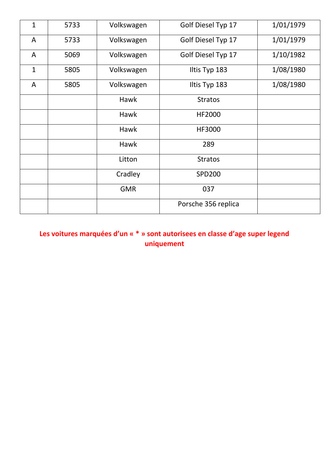| $\overline{1}$ | 5733 | Volkswagen                       | 1/01/1979<br>Golf Diesel Typ 17 |           |  |
|----------------|------|----------------------------------|---------------------------------|-----------|--|
| A              | 5733 | Volkswagen                       | Golf Diesel Typ 17              | 1/01/1979 |  |
| A              | 5069 | Volkswagen<br>Golf Diesel Typ 17 |                                 | 1/10/1982 |  |
| $\mathbf{1}$   | 5805 | Volkswagen                       | Iltis Typ 183                   | 1/08/1980 |  |
| A              | 5805 | Volkswagen                       | Iltis Typ 183                   | 1/08/1980 |  |
|                |      | Hawk                             | <b>Stratos</b>                  |           |  |
|                |      | <b>Hawk</b>                      | <b>HF2000</b>                   |           |  |
|                |      | <b>Hawk</b>                      | HF3000                          |           |  |
|                |      | <b>Hawk</b>                      | 289                             |           |  |
|                |      | Litton                           | <b>Stratos</b>                  |           |  |
|                |      | Cradley                          | <b>SPD200</b>                   |           |  |
|                |      | <b>GMR</b>                       | 037                             |           |  |
|                |      |                                  | Porsche 356 replica             |           |  |

**Les voitures marquées d'un « \* » sont autorisees en classe d'age super legend uniquement**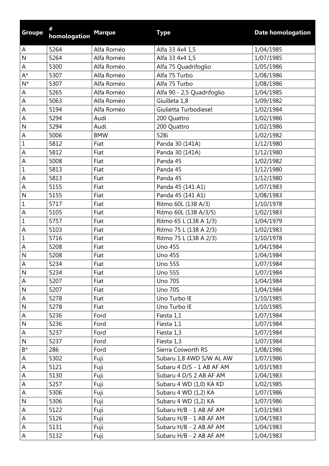| <b>Groupe</b> | #<br>homologation | <b>Marque</b> | <b>Type</b>                | <b>Date homologation</b> |
|---------------|-------------------|---------------|----------------------------|--------------------------|
| A             | 5264              | Alfa Roméo    | Alfa 33 4x4 1,5            | 1/04/1985                |
| $\mathsf{N}$  | 5264              | Alfa Roméo    | Alfa 33 4x4 1,5            | 1/07/1985                |
| А             | 5300              | Alfa Roméo    | Alfa 75 Quadrifoglio       | 1/05/1986                |
| $A^*$         | 5307              | Alfa Roméo    | Alfa 75 Turbo              | 1/08/1986                |
| $N^*$         | 5307              | Alfa Roméo    | Alfa 75 Turbo              | 1/08/1986                |
| A             | 5265              | Alfa Roméo    | Alfa 90 - 2,5 Quadrifoglio | 1/04/1985                |
| A             | 5063              | Alfa Roméo    | Giuilleta 1,8              | 1/09/1982                |
| A             | 5194              | Alfa Roméo    | Giulietta Turbodiesel      | 1/02/1984                |
| A             | 5294              | Audi          | 200 Quattro                | 1/02/1986                |
| $\mathsf{N}$  | 5294              | Audi          | 200 Quattro                | 1/02/1986                |
| $\mathsf A$   | 5006              | <b>BMW</b>    | 528i                       | 1/02/1982                |
| $\mathbf 1$   | 5812              | Fiat          | Panda 30 (141A)            | 1/12/1980                |
| A             | 5812              | Fiat          | Panda 30 (141A)            | 1/12/1980                |
| A             | 5008              | Fiat          | Panda 45                   | 1/02/1982                |
| $1\,$         | 5813              | Fiat          | Panda 45                   | 1/12/1980                |
| A             | 5813              | Fiat          | Panda 45                   | 1/12/1980                |
| A             | 5155              | Fiat          | Panda 45 (141 A1)          | 1/07/1983                |
| $\mathsf{N}$  | 5155              | Fiat          | Panda 45 (141 A1)          | 1/08/1983                |
| $\mathbf 1$   | 5717              | Fiat          | Ritmo 60L (138 A/3)        | 1/10/1978                |
| A             | 5105              | Fiat          | Ritmo 60L (138 A/3/5)      | 1/02/1983                |
| $\mathbf 1$   | 5757              | Fiat          | Ritmo 65 L (138 A 1/3)     | 1/04/1979                |
| A             | 5103              | Fiat          | Ritmo 75 L (138 A 2/3)     | 1/02/1983                |
| $\mathbf 1$   | 5716              | Fiat          | Ritmo 75 L (138 A 2/3)     | 1/10/1978                |
| A             | 5208              | Fiat          | <b>Uno 45S</b>             | 1/04/1984                |
| $\mathsf{N}$  | 5208              | Fiat          | Uno 45S                    | 1/04/1984                |
| A             | 5234              | Fiat          | <b>Uno 55S</b>             | 1/07/1984                |
| $\mathsf{N}$  | 5234              | Fiat          | <b>Uno 55S</b>             | 1/07/1984                |
| A             | 5207              | Fiat          | <b>Uno 70S</b>             | 1/04/1984                |
| $\mathsf{N}$  | 5207              | Fiat          | <b>Uno 70S</b>             | 1/04/1984                |
| A             | 5278              | Fiat          | Uno Turbo IE               | 1/10/1985                |
| $\mathsf{N}$  | 5278              | Fiat          | Uno Turbo IE               | 1/10/1985                |
| ${\sf A}$     | 5236              | Ford          | Fiesta 1,1                 | 1/07/1984                |
| $\mathsf{N}$  | 5236              | Ford          | Fiesta 1,1                 | 1/07/1984                |
| A             | 5237              | Ford          | Fiesta 1,3                 | 1/07/1984                |
| $\mathsf{N}$  | 5237              | Ford          | Fiesta 1,3                 | 1/07/1984                |
| $B^*$         | 286               | Ford          | Sierra Cosworth RS         | 1/08/1986                |
| $\mathsf A$   | 5302              | Fuji          | Subaru 1,8 4WD S/W AL AW   | 1/07/1986                |
| A             | 5121              | Fuji          | Subaru 4 D/S - 1 AB AF AM  | 1/03/1983                |
| A             | 5130              | Fuji          | Subaru 4 D/S 2 AB AF AM    | 1/04/1983                |
| A             | 5257              | Fuji          | Subaru 4 WD (1,0) KA KD    | 1/02/1985                |
| ${\sf A}$     | 5306              | Fuji          | Subaru 4 WD (1,2) KA       | 1/07/1986                |
| $\mathsf{N}$  | 5306              | Fuji          | Subaru 4 WD (1,2) KA       | 1/07/1986                |
| $\mathsf A$   | 5122              | Fuji          | Subaru H/B - 1 AB AF AM    | 1/03/1983                |
| $\mathsf A$   | 5126              | Fuji          | Subaru H/B - 1 AB AF AM    | 1/04/1983                |
| A             | 5131              | Fuji          | Subaru H/B - 2 AB AF AM    | 1/04/1983                |
| A             | 5132              | Fuji          | Subaru H/B - 2 AB AF AM    | 1/04/1983                |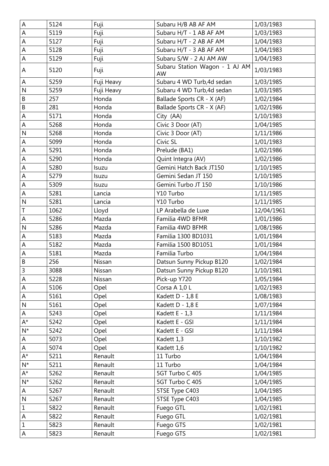| A              | 5124 | Fuji       | Subaru H/B AB AF AM                  | 1/03/1983  |
|----------------|------|------------|--------------------------------------|------------|
| ${\sf A}$      | 5119 | Fuji       | Subaru H/T - 1 AB AF AM              | 1/03/1983  |
| A              | 5127 | Fuji       | Subaru H/T - 2 AB AF AM              | 1/04/1983  |
| A              | 5128 | Fuji       | Subaru H/T - 3 AB AF AM              | 1/04/1983  |
| A              | 5129 | Fuji       | Subaru S/W - 2 AJ AM AW              | 1/04/1983  |
| Α              | 5120 | Fuji       | Subaru Station Wagon - 1 AJ AM<br>AW | 1/03/1983  |
| $\mathsf A$    | 5259 | Fuji Heavy | Subaru 4 WD Turb, 4d sedan           | 1/03/1985  |
| N              | 5259 | Fuji Heavy | Subaru 4 WD Turb, 4d sedan           | 1/03/1985  |
| B              | 257  | Honda      | Ballade Sports CR - X (AF)           | 1/02/1984  |
| $\mathsf B$    | 281  | Honda      | Ballade Sports CR - X (AF)           | 1/02/1986  |
| A              | 5171 | Honda      | City (AA)                            | 1/10/1983  |
| A              | 5268 | Honda      | Civic 3 Door (AT)                    | 1/04/1985  |
| $\overline{N}$ | 5268 | Honda      | Civic 3 Door (AT)                    | 1/11/1986  |
| A              | 5099 | Honda      | Civic SL                             | 1/01/1983  |
| A              | 5291 | Honda      | Prelude (BA1)                        | 1/02/1986  |
| A              | 5290 | Honda      | Quint Integra (AV)                   | 1/02/1986  |
| A              | 5280 | Isuzu      | Gemini Hatch Back JT150              | 1/10/1985  |
| A              | 5279 | Isuzu      | Gemini Sedan JT 150                  | 1/10/1985  |
| A              | 5309 | Isuzu      | Gemini Turbo JT 150                  | 1/10/1986  |
| A              | 5281 | Lancia     | Y10 Turbo                            | 1/11/1985  |
| $\mathsf{N}$   | 5281 | Lancia     | Y10 Turbo                            | 1/11/1985  |
| $\mathsf T$    | 1062 | Lloyd      | LP Arabella de Luxe                  | 12/04/1961 |
| A              | 5286 | Mazda      | Familia 4WD BFMR                     | 1/01/1986  |
| $\mathsf{N}$   | 5286 | Mazda      | Familia 4WD BFMR                     | 1/08/1986  |
| A              | 5183 | Mazda      | Familia 1300 BD1031                  | 1/01/1984  |
| A              | 5182 | Mazda      | Familia 1500 BD1051                  | 1/01/1984  |
| A              | 5181 | Mazda      | Familia Turbo                        | 1/04/1984  |
| B              | 256  | Nissan     | Datsun Sunny Pickup B120             | 1/02/1984  |
| 3              | 3088 | Nissan     | Datsun Sunny Pickup B120             | 1/10/1981  |
| $\mathsf A$    | 5228 | Nissan     | Pick-up Y720                         | 1/05/1984  |
| A              | 5106 | Opel       | Corsa A 1,0 L                        | 1/02/1983  |
| A              | 5161 | Opel       | Kadett D - 1,8 E                     | 1/08/1983  |
| $\mathsf{N}$   | 5161 | Opel       | Kadett D - 1,8 E                     | 1/07/1984  |
| $\mathsf A$    | 5243 | Opel       | Kadett E - 1,3                       | 1/11/1984  |
| $A^*$          | 5242 | Opel       | Kadett E - GSI                       | 1/11/1984  |
| $N^*$          | 5242 | Opel       | Kadett E - GSI                       | 1/11/1984  |
| $\mathsf A$    | 5073 | Opel       | Kadett 1,3                           | 1/10/1982  |
| A              | 5074 | Opel       | Kadett 1,6                           | 1/10/1982  |
| A*             | 5211 | Renault    | 11 Turbo                             | 1/04/1984  |
| $N^*$          | 5211 | Renault    | 11 Turbo                             | 1/04/1984  |
| $A^*$          | 5262 | Renault    | 5GT Turbo C 405                      | 1/04/1985  |
| $N^*$          | 5262 | Renault    | 5GT Turbo C 405                      | 1/04/1985  |
| $\mathsf A$    | 5267 | Renault    | 5TSE Type C403                       | 1/04/1985  |
| $\mathsf{N}$   | 5267 | Renault    | 5TSE Type C403                       | 1/04/1985  |
| $\mathbf 1$    | 5822 | Renault    | Fuego GTL                            | 1/02/1981  |
| ${\sf A}$      | 5822 | Renault    | Fuego GTL                            | 1/02/1981  |
| $\mathbf{1}$   | 5823 | Renault    | Fuego GTS                            | 1/02/1981  |
| $\mathsf A$    | 5823 | Renault    | Fuego GTS                            | 1/02/1981  |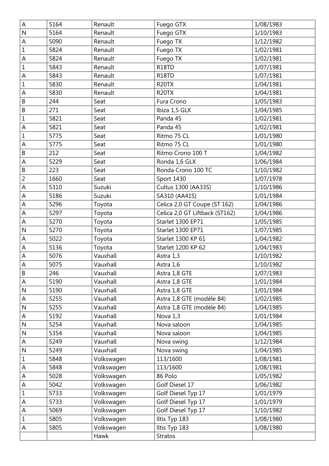| A              | 5164 | Renault    | Fuego GTX                      | 1/08/1983 |
|----------------|------|------------|--------------------------------|-----------|
| $\overline{N}$ | 5164 | Renault    | Fuego GTX                      | 1/10/1983 |
| A              | 5090 | Renault    | Fuego TX                       | 1/12/1982 |
| $1\,$          | 5824 | Renault    | Fuego TX                       | 1/02/1981 |
| A              | 5824 | Renault    | Fuego TX                       | 1/02/1981 |
| $\mathbf 1$    | 5843 | Renault    | R18TD                          | 1/07/1981 |
| A              | 5843 | Renault    | R18TD                          | 1/07/1981 |
| $\mathbf 1$    | 5830 | Renault    | R <sub>20</sub> TX             | 1/04/1981 |
| A              | 5830 | Renault    | R <sub>20</sub> TX             | 1/04/1981 |
| $\mathsf B$    | 244  | Seat       | Fura Crono                     | 1/05/1983 |
| $\sf B$        | 271  | Seat       | Ibiza 1,5 GLX                  | 1/04/1985 |
| $\mathbf 1$    | 5821 | Seat       | Panda 45                       | 1/02/1981 |
| A              | 5821 | Seat       | Panda 45                       | 1/02/1981 |
| $\mathbf 1$    | 5775 | Seat       | Ritmo 75 CL                    | 1/01/1980 |
| A              | 5775 | Seat       | Ritmo 75 CL                    | 1/01/1980 |
| $\sf B$        | 212  | Seat       | Ritmo Crono 100 T              | 1/04/1982 |
| A              | 5229 | Seat       | Ronda 1,6 GLX                  | 1/06/1984 |
| $\sf B$        | 223  | Seat       | Ronda Crono 100 TC             | 1/10/1982 |
| $\overline{2}$ | 1660 | Seat       | <b>Sport 1430</b>              | 1/07/1978 |
| A              | 5310 | Suzuki     | Cultus 1300 (AA33S)            | 1/10/1986 |
| A              | 5186 | Suzuki     | SA310 (AA41S)                  | 1/01/1984 |
| A              | 5296 | Toyota     | Celica 2,0 GT Coupe (ST 162)   | 1/04/1986 |
| A              | 5297 | Toyota     | Celica 2,0 GT Liftback (ST162) | 1/04/1986 |
| A              | 5270 | Toyota     | Starlet 1300 EP71              | 1/05/1985 |
| $\overline{N}$ | 5270 | Toyota     | Starlet 1300 EP71              | 1/07/1985 |
| $\mathsf A$    | 5022 | Toyota     | Starlet 1300 KP 61             | 1/04/1982 |
| A              | 5136 | Toyota     | Starlet 1200 KP 62             | 1/04/1983 |
| A              | 5076 | Vauxhall   | Astra 1,3                      | 1/10/1982 |
| A              | 5075 | Vauxhall   | Astra 1,6                      | 1/10/1982 |
| $\sf B$        | 246  | Vauxhall   | Astra 1,8 GTE                  | 1/07/1983 |
| $\mathsf A$    | 5190 | Vauxhall   | Astra 1,8 GTE                  | 1/01/1984 |
| $\mathsf{N}$   | 5190 | Vauxhall   | Astra 1,8 GTE                  | 1/01/1984 |
| A              | 5255 | Vauxhall   | Astra 1,8 GTE (modèle 84)      | 1/02/1985 |
| $\mathsf{N}$   | 5255 | Vauxhall   | Astra 1,8 GTE (modèle 84)      | 1/04/1985 |
| A              | 5192 | Vauxhall   | Nova 1,3                       | 1/01/1984 |
| $\mathsf{N}$   | 5254 | Vauxhall   | Nova saloon                    | 1/04/1985 |
| $\mathsf{N}$   | 5354 | Vauxhall   | Nova saloon                    | 1/04/1985 |
| A              | 5249 | Vauxhall   | Nova swing                     | 1/12/1984 |
| $\mathsf{N}$   | 5249 | Vauxhall   | Nova swing                     | 1/04/1985 |
| $\mathbf 1$    | 5848 | Volkswagen | 113/1600                       | 1/08/1981 |
| А              | 5848 | Volkswagen | 113/1600                       | 1/08/1981 |
| A              | 5028 | Volkswagen | 86 Polo                        | 1/05/1982 |
| A              | 5042 | Volkswagen | Golf Diesel 17                 | 1/06/1982 |
| 1              | 5733 | Volkswagen | Golf Diesel Typ 17             | 1/01/1979 |
| A              | 5733 | Volkswagen | Golf Diesel Typ 17             | 1/01/1979 |
| A              | 5069 | Volkswagen | Golf Diesel Typ 17             | 1/10/1982 |
| 1              | 5805 | Volkswagen | Iltis Typ 183                  | 1/08/1980 |
| A              | 5805 | Volkswagen | Iltis Typ 183                  | 1/08/1980 |
|                |      | Hawk       | <b>Stratos</b>                 |           |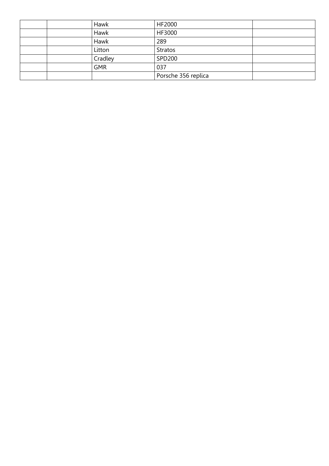| Hawk       | HF2000              |  |
|------------|---------------------|--|
| Hawk       | HF3000              |  |
| Hawk       | 289                 |  |
| Litton     | <b>Stratos</b>      |  |
| Cradley    | <b>SPD200</b>       |  |
| <b>GMR</b> | 037                 |  |
|            | Porsche 356 replica |  |